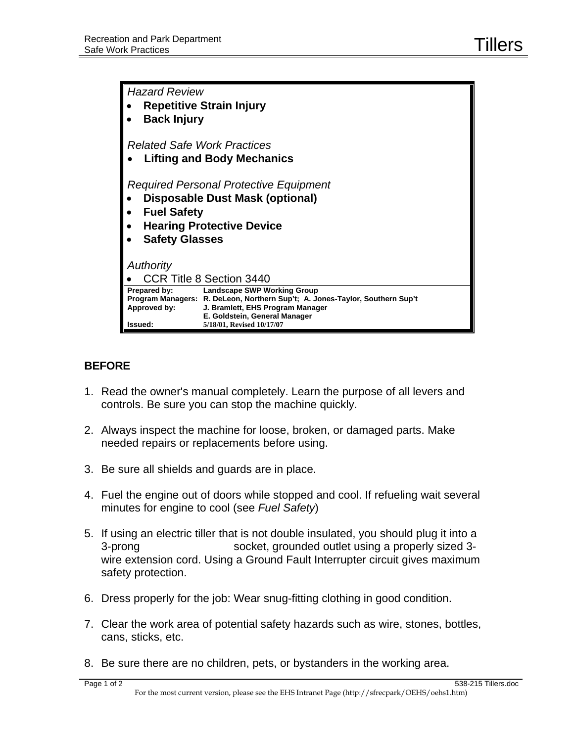| <b>Hazard Review</b>                   |                                                                                                                                                                                         |
|----------------------------------------|-----------------------------------------------------------------------------------------------------------------------------------------------------------------------------------------|
| <b>Repetitive Strain Injury</b>        |                                                                                                                                                                                         |
| <b>Back Injury</b>                     |                                                                                                                                                                                         |
| <b>Related Safe Work Practices</b>     |                                                                                                                                                                                         |
| <b>Lifting and Body Mechanics</b>      |                                                                                                                                                                                         |
| Required Personal Protective Equipment |                                                                                                                                                                                         |
| <b>Disposable Dust Mask (optional)</b> |                                                                                                                                                                                         |
| <b>Fuel Safety</b>                     |                                                                                                                                                                                         |
| <b>Hearing Protective Device</b>       |                                                                                                                                                                                         |
| <b>Safety Glasses</b>                  |                                                                                                                                                                                         |
| Authority                              |                                                                                                                                                                                         |
| CCR Title 8 Section 3440               |                                                                                                                                                                                         |
| Prepared by:<br>Approved by:           | <b>Landscape SWP Working Group</b><br>Program Managers: R. DeLeon, Northern Sup't; A. Jones-Taylor, Southern Sup't<br>J. Bramlett, EHS Program Manager<br>E. Goldstein, General Manager |
| Issued:                                | 5/18/01, Revised 10/17/07                                                                                                                                                               |

## **BEFORE**

- 1. Read the owner's manual completely. Learn the purpose of all levers and controls. Be sure you can stop the machine quickly.
- 2. Always inspect the machine for loose, broken, or damaged parts. Make needed repairs or replacements before using.
- 3. Be sure all shields and guards are in place.
- 4. Fuel the engine out of doors while stopped and cool. If refueling wait several minutes for engine to cool (see *Fuel Safety*)
- 5. If using an electric tiller that is not double insulated, you should plug it into a 3-prong socket, grounded outlet using a properly sized 3 wire extension cord. Using a Ground Fault Interrupter circuit gives maximum safety protection.
- 6. Dress properly for the job: Wear snug-fitting clothing in good condition.
- 7. Clear the work area of potential safety hazards such as wire, stones, bottles, cans, sticks, etc.
- 8. Be sure there are no children, pets, or bystanders in the working area.